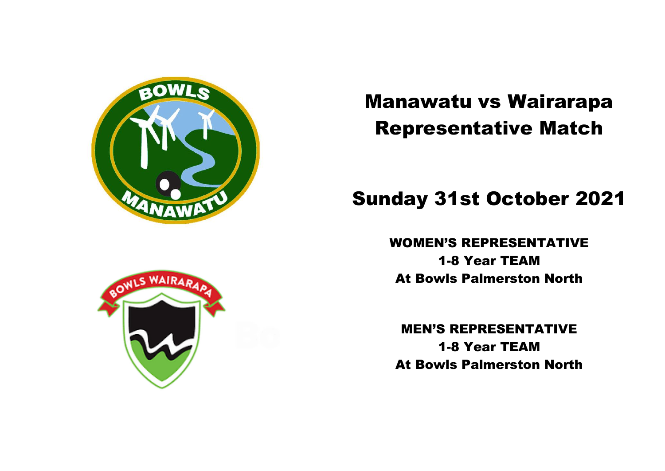

# Manawatu vs Wairarapa Representative Match

## Sunday 31st October 2021

WOMEN'S REPRESENTATIVE 1-8 Year TEAM

At Bowls Palmerston North

MEN'S REPRESENTATIVE 1-8 Year TEAM At Bowls Palmerston North

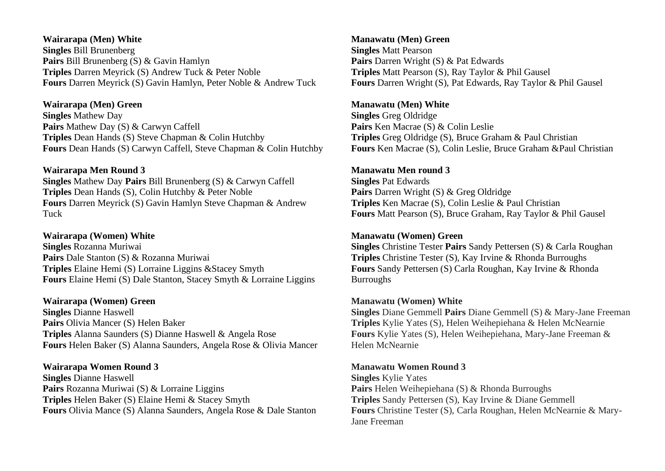## **Wairarapa (Men) White Singles** Bill Brunenberg **Pairs** Bill Brunenberg (S) & Gavin Hamlyn **Triples** Darren Meyrick (S) Andrew Tuck & Peter Noble **Fours** Darren Meyrick (S) Gavin Hamlyn, Peter Noble & Andrew Tuck

## **Wairarapa (Men) Green**

**Singles** Mathew Day **Pairs** Mathew Day (S) & Carwyn Caffell **Triples** Dean Hands (S) Steve Chapman & Colin Hutchby **Fours** Dean Hands (S) Carwyn Caffell, Steve Chapman & Colin Hutchby

## **Wairarapa Men Round 3**

**Singles** Mathew Day **Pairs** Bill Brunenberg (S) & Carwyn Caffell **Triples** Dean Hands (S), Colin Hutchby & Peter Noble **Fours** Darren Meyrick (S) Gavin Hamlyn Steve Chapman & Andrew Tuck

## **Wairarapa (Women) White**

**Singles** Rozanna Muriwai **Pairs** Dale Stanton (S) & Rozanna Muriwai **Triples** Elaine Hemi (S) Lorraine Liggins &Stacey Smyth **Fours** Elaine Hemi (S) Dale Stanton, Stacey Smyth & Lorraine Liggins

## **Wairarapa (Women) Green**

**Singles** Dianne Haswell **Pairs** Olivia Mancer (S) Helen Baker **Triples** Alanna Saunders (S) Dianne Haswell & Angela Rose **Fours** Helen Baker (S) Alanna Saunders, Angela Rose & Olivia Mancer

## **Wairarapa Women Round 3**

**Singles** Dianne Haswell **Pairs** Rozanna Muriwai (S) & Lorraine Liggins **Triples** Helen Baker (S) Elaine Hemi & Stacey Smyth **Fours** Olivia Mance (S) Alanna Saunders, Angela Rose & Dale Stanton

## **Manawatu (Men) Green Singles** Matt Pearson **Pairs** Darren Wright (S) & Pat Edwards **Triples** Matt Pearson (S), Ray Taylor & Phil Gausel **Fours** Darren Wright (S), Pat Edwards, Ray Taylor & Phil Gausel

## **Manawatu (Men) White**

**Singles** Greg Oldridge **Pairs** Ken Macrae (S) & Colin Leslie **Triples** Greg Oldridge (S), Bruce Graham & Paul Christian **Fours** Ken Macrae (S), Colin Leslie, Bruce Graham &Paul Christian

## **Manawatu Men round 3**

**Singles** Pat Edwards **Pairs** Darren Wright (S) & Greg Oldridge **Triples** Ken Macrae (S), Colin Leslie & Paul Christian **Fours** Matt Pearson (S), Bruce Graham, Ray Taylor & Phil Gausel

## **Manawatu (Women) Green**

**Singles** Christine Tester **Pairs** Sandy Pettersen (S) & Carla Roughan **Triples** Christine Tester (S), Kay Irvine & Rhonda Burroughs **Fours** Sandy Pettersen (S) Carla Roughan, Kay Irvine & Rhonda Burroughs

## **Manawatu (Women) White**

**Singles** Diane Gemmell **Pairs** Diane Gemmell (S) & Mary-Jane Freeman **Triples** Kylie Yates (S), Helen Weihepiehana & Helen McNearnie **Fours** Kylie Yates (S), Helen Weihepiehana, Mary-Jane Freeman & Helen McNearnie

## **Manawatu Women Round 3**

**Singles** Kylie Yates **Pairs** Helen Weihepiehana (S) & Rhonda Burroughs **Triples** Sandy Pettersen (S), Kay Irvine & Diane Gemmell **Fours** Christine Tester (S), Carla Roughan, Helen McNearnie & Mary-Jane Freeman